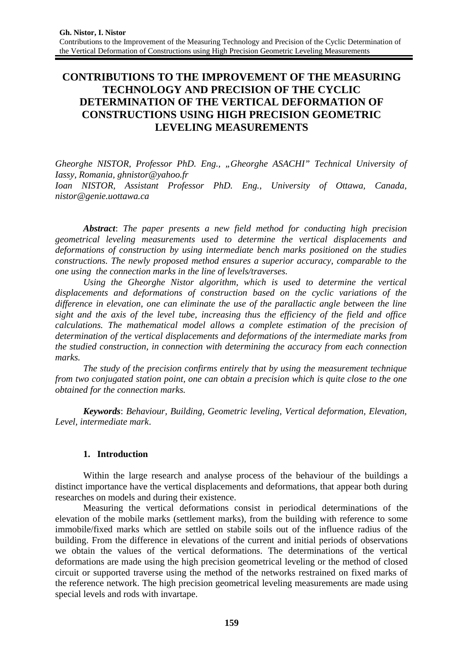# **CONTRIBUTIONS TO THE IMPROVEMENT OF THE MEASURING TECHNOLOGY AND PRECISION OF THE CYCLIC DETERMINATION OF THE VERTICAL DEFORMATION OF CONSTRUCTIONS USING HIGH PRECISION GEOMETRIC LEVELING MEASUREMENTS**

*Gheorghe NISTOR, Professor PhD. Eng., "Gheorghe ASACHI" Technical University of Iassy, Romania, ghnistor@yahoo.fr Ioan NISTOR, Assistant Professor PhD. Eng., University of Ottawa, Canada, nistor@genie.uottawa.ca*

*Abstract*: *The paper presents a new field method for conducting high precision geometrical leveling measurements used to determine the vertical displacements and deformations of construction by using intermediate bench marks positioned on the studies constructions. The newly proposed method ensures a superior accuracy, comparable to the one using the connection marks in the line of levels/traverses.*

*Using the Gheorghe Nistor algorithm, which is used to determine the vertical displacements and deformations of construction based on the cyclic variations of the difference in elevation, one can eliminate the use of the parallactic angle between the line sight and the axis of the level tube, increasing thus the efficiency of the field and office calculations. The mathematical model allows a complete estimation of the precision of determination of the vertical displacements and deformations of the intermediate marks from the studied construction, in connection with determining the accuracy from each connection marks.*

*The study of the precision confirms entirely that by using the measurement technique from two conjugated station point, one can obtain a precision which is quite close to the one obtained for the connection marks.*

*Keywords*: *Behaviour, Building, Geometric leveling, Vertical deformation, Elevation, Level, intermediate mark*.

### **1. Introduction**

Within the large research and analyse process of the behaviour of the buildings a distinct importance have the vertical displacements and deformations, that appear both during researches on models and during their existence.

Measuring the vertical deformations consist in periodical determinations of the elevation of the mobile marks (settlement marks), from the building with reference to some immobile/fixed marks which are settled on stabile soils out of the influence radius of the building. From the difference in elevations of the current and initial periods of observations we obtain the values of the vertical deformations. The determinations of the vertical deformations are made using the high precision geometrical leveling or the method of closed circuit or supported traverse using the method of the networks restrained on fixed marks of the reference network. The high precision geometrical leveling measurements are made using special levels and rods with invartape.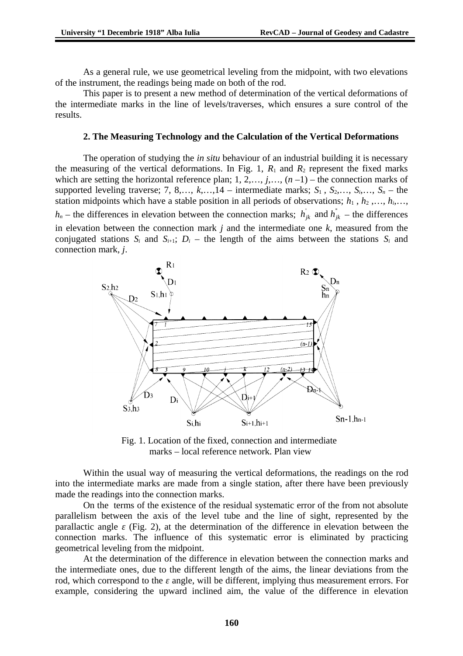As a general rule, we use geometrical leveling from the midpoint, with two elevations of the instrument, the readings being made on both of the rod.

This paper is to present a new method of determination of the vertical deformations of the intermediate marks in the line of levels/traverses, which ensures a sure control of the results.

#### **2. The Measuring Technology and the Calculation of the Vertical Deformations**

The operation of studying the *in situ* behaviour of an industrial building it is necessary the measuring of the vertical deformations. In Fig. 1,  $R_1$  and  $R_2$  represent the fixed marks which are setting the horizontal reference plan; 1, 2,…, *j*,…, (*n* –1) – the connection marks of supported leveling traverse; 7, 8,...,  $k$ ,..., 14 – intermediate marks;  $S_1$ ,  $S_2$ ,...,  $S_i$ ,...,  $S_n$  – the station midpoints which have a stable position in all periods of observations;  $h_1$ ,  $h_2$ ,...,  $h_i$ ,...,  $h_n$  – the differences in elevation between the connection marks;  $h_{ik}$  and  $h_{ik}$  – the differences in elevation between the connection mark *j* and the intermediate one *k*, measured from the conjugated stations  $S_i$  and  $S_{i+1}$ ;  $D_i$  – the length of the aims between the stations  $S_i$  and connection mark, *j*.



Fig. 1. Location of the fixed, connection and intermediate marks – local reference network. Plan view

Within the usual way of measuring the vertical deformations, the readings on the rod into the intermediate marks are made from a single station, after there have been previously made the readings into the connection marks.

On the terms of the existence of the residual systematic error of the from not absolute parallelism between the axis of the level tube and the line of sight, represented by the parallactic angle *ε* (Fig. 2), at the determination of the difference in elevation between the connection marks. The influence of this systematic error is eliminated by practicing geometrical leveling from the midpoint.

At the determination of the difference in elevation between the connection marks and the intermediate ones, due to the different length of the aims, the linear deviations from the rod, which correspond to the *ε* angle, will be different, implying thus measurement errors. For example, considering the upward inclined aim, the value of the difference in elevation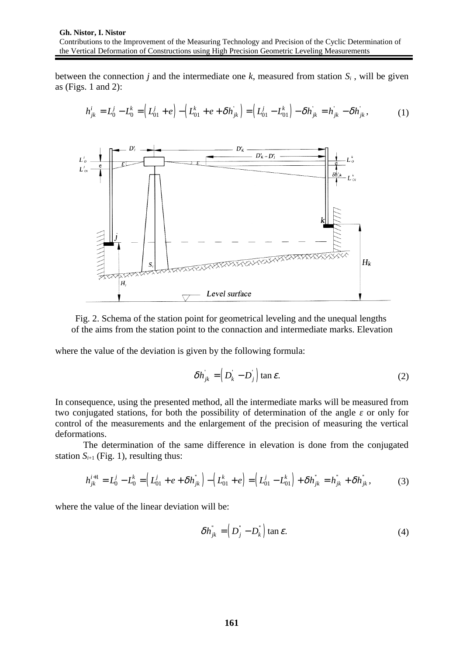between the connection *j* and the intermediate one *k*, measured from station *Si* , will be given as (Figs. 1 and 2):

$$
h_{jk}^i = L_0^j - L_0^k = \left( L_{01}^j + e \right) - \left( L_{01}^k + e + \delta h_{jk} \right) = \left( L_{01}^j - L_{01}^k \right) - \delta h_{jk} = h_{jk} - \delta h_{jk}, \tag{1}
$$



Fig. 2. Schema of the station point for geometrical leveling and the unequal lengths of the aims from the station point to the connaction and intermediate marks. Elevation

where the value of the deviation is given by the following formula:

$$
\delta h_{jk} = \left( D_k - D_j \right) \tan \varepsilon. \tag{2}
$$

In consequence, using the presented method, all the intermediate marks will be measured from two conjugated stations, for both the possibility of determination of the angle *ε* or only for control of the measurements and the enlargement of the precision of measuring the vertical deformations.

The determination of the same difference in elevation is done from the conjugated station  $S_{i+1}$  (Fig. 1), resulting thus:

$$
h_{jk}^{i+1} = L_0^j - L_0^k = \left( L_{01}^j + e + \delta h_{jk}^* \right) - \left( L_{01}^k + e \right) = \left( L_{01}^j - L_{01}^k \right) + \delta h_{jk}^* = h_{jk}^* + \delta h_{jk}^*,
$$
 (3)

where the value of the linear deviation will be:

$$
\delta h_{jk}^{\dagger} = \left( D_j^{\dagger} - D_k^{\dagger} \right) \tan \varepsilon. \tag{4}
$$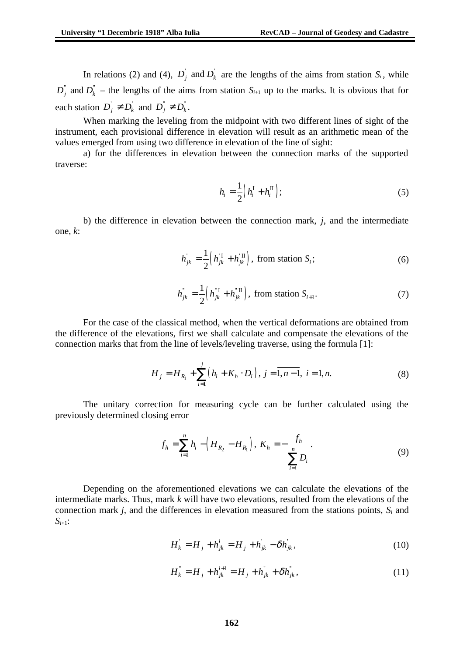In relations (2) and (4),  $D_i$  and  $D_k$  are the lengths of the aims from station  $S_i$ , while  $D_j^{\dagger}$  and  $D_k^{\dagger}$  – the lengths of the aims from station  $S_{i+1}$  up to the marks. It is obvious that for each station  $D_j \neq D_k$  and  $D_j^{\dagger} \neq D_k^{\dagger}$ .

When marking the leveling from the midpoint with two different lines of sight of the instrument, each provisional difference in elevation will result as an arithmetic mean of the values emerged from using two difference in elevation of the line of sight:

a) for the differences in elevation between the connection marks of the supported traverse:

$$
h_i = \frac{1}{2} \left( h_i^{\mathrm{I}} + h_i^{\mathrm{II}} \right); \tag{5}
$$

b) the difference in elevation between the connection mark, *j*, and the intermediate one, *k*:

$$
h_{jk} = \frac{1}{2} \left( h_{jk}^{\mathrm{T}} + h_{jk}^{\mathrm{T}} \right), \text{ from station } S_i; \tag{6}
$$

$$
h_{jk}^{\dagger} = \frac{1}{2} \left( h_{jk}^{\dagger} + h_{jk}^{\dagger} \right), \text{ from station } S_{i+1}.
$$
 (7)

For the case of the classical method, when the vertical deformations are obtained from the difference of the elevations, first we shall calculate and compensate the elevations of the connection marks that from the line of levels/leveling traverse, using the formula [1]:

$$
H_j = H_{R_1} + \sum_{i=1}^{j} (h_i + K_h \cdot D_i), j = \overline{1, n-1}, i = 1, n.
$$
 (8)

The unitary correction for measuring cycle can be further calculated using the previously determined closing error

$$
f_h = \sum_{i=1}^n h_i - \left(H_{R_2} - H_{R_1}\right), \ K_h = -\frac{f_h}{\sum_{i=1}^n D_i}.
$$
 (9)

Depending on the aforementioned elevations we can calculate the elevations of the intermediate marks. Thus, mark *k* will have two elevations, resulted from the elevations of the connection mark *j*, and the differences in elevation measured from the stations points, *Si* and *Si*+1:

$$
H_k = H_j + h_{jk}^i = H_j + h_{jk} - \delta h_{jk},
$$
\n(10)

$$
H_{k}^{"} = H_{j} + h_{jk}^{i+1} = H_{j} + h_{jk}^{{"}} + \delta h_{jk}^{{"}},
$$
\n(11)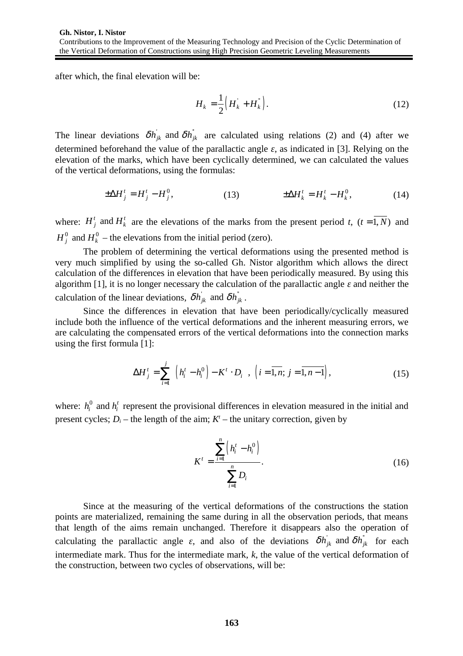after which, the final elevation will be:

$$
H_k = \frac{1}{2} \left( H_k + H_k^{\dagger} \right). \tag{12}
$$

The linear deviations  $\delta h_{ik}$  and  $\delta h_{ik}$  are calculated using relations (2) and (4) after we determined beforehand the value of the parallactic angle *ε*, as indicated in [3]. Relying on the elevation of the marks, which have been cyclically determined, we can calculated the values of the vertical deformations, using the formulas:

$$
\pm \Delta H^t_j = H^t_j - H^0_j,\tag{13} \qquad \qquad \pm \Delta H^t_k = H^t_k - H^0_k,\tag{14}
$$

where:  $H_j^t$  and  $H_k^t$  are the elevations of the marks from the present period *t*,  $(t = \overline{1, N})$  and  $H_i^0$  and  $H_k^0$  – the elevations from the initial period (zero).

The problem of determining the vertical deformations using the presented method is very much simplified by using the so-called Gh. Nistor algorithm which allows the direct calculation of the differences in elevation that have been periodically measured. By using this algorithm [1], it is no longer necessary the calculation of the parallactic angle *ε* and neither the calculation of the linear deviations,  $\delta h_{ik}$  and  $\delta h_{ik}$ .

Since the differences in elevation that have been periodically/cyclically measured include both the influence of the vertical deformations and the inherent measuring errors, we are calculating the compensated errors of the vertical deformations into the connection marks using the first formula [1]:

$$
\Delta H_j^t = \sum_{i=1}^j \left[ \left( h_i^t - h_i^0 \right) - K^t \cdot D_i \right], \left( i = \overline{1, n}; j = \overline{1, n-1} \right), \tag{15}
$$

where:  $h_i^0$  and  $h_i^t$  represent the provisional differences in elevation measured in the initial and present cycles;  $D_i$  – the length of the aim;  $K<sup>t</sup>$  – the unitary correction, given by

$$
K^{t} = \frac{\sum_{i=1}^{n} (h_{i}^{t} - h_{i}^{0})}{\sum_{i=1}^{n} D_{i}}.
$$
 (16)

Since at the measuring of the vertical deformations of the constructions the station points are materialized, remaining the same during in all the observation periods, that means that length of the aims remain unchanged. Therefore it disappears also the operation of calculating the parallactic angle  $\varepsilon$ , and also of the deviations  $\delta h_{jk}$  and  $\delta h_{jk}$  for each intermediate mark. Thus for the intermediate mark, *k*, the value of the vertical deformation of the construction, between two cycles of observations, will be: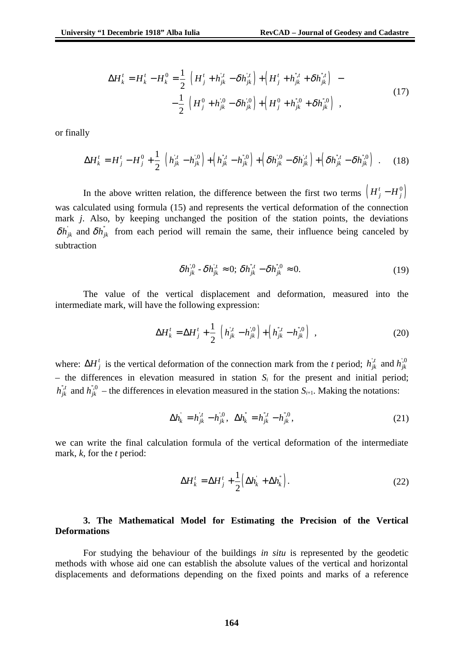$$
\Delta H_k^t = H_k^t - H_k^0 = \frac{1}{2} \Big[ \Big( H_j^t + h_{jk}^{t} - \delta h_{jk}^{t} \Big) + \Big( H_j^t + h_{jk}^{t} + \delta h_{jk}^{t} \Big) \Big] -
$$
  

$$
- \frac{1}{2} \Big[ \Big( H_j^0 + h_{jk}^{t,0} - \delta h_{jk}^{t,0} \Big) + \Big( H_j^0 + h_{jk}^{t,0} + \delta h_{jk}^{t,0} \Big) \Big],
$$
 (17)

or finally

$$
\Delta H_k^t = H_j^t - H_j^0 + \frac{1}{2} \Big[ \Big( h_{jk}^{t,t} - h_{jk}^{t,0} \Big) + \Big( h_{jk}^{t,t} - h_{jk}^{t,0} \Big) + \Big( \delta h_{jk}^{t,0} - \delta h_{jk}^{t,t} \Big) + \Big( \delta h_{jk}^{t,t} - \delta h_{jk}^{t,0} \Big) \Big].
$$
 (18)

In the above written relation, the difference between the first two terms  $\left(H_j^t - H_j^0\right)$ was calculated using formula (15) and represents the vertical deformation of the connection mark *j*. Also, by keeping unchanged the position of the station points, the deviations  $\delta h_{jk}$  and  $\delta h_{jk}$  from each period will remain the same, their influence being canceled by subtraction

$$
\delta h_{jk}^{,0} - \delta h_{jk}^{,t} \approx 0; \delta h_{jk}^{,t} - \delta h_{jk}^{,0} \approx 0.
$$
 (19)

The value of the vertical displacement and deformation, measured into the intermediate mark, will have the following expression:

$$
\Delta H_k^t = \Delta H_j^t + \frac{1}{2} \Big[ \Big( h_{jk}^{t} - h_{jk}^{t,0} \Big) + \Big( h_{jk}^{t} - h_{jk}^{t,0} \Big) \Big], \tag{20}
$$

where:  $\Delta H_j^t$  is the vertical deformation of the connection mark from the *t* period;  $h_{jk}^{l,t}$  and  $h_{jk}^{l,0}$ – the differences in elevation measured in station  $S_i$  for the present and initial period;  $h_{jk}^{",t}$  and  $h_{jk}^{",0}$  – the differences in elevation measured in the station  $S_{i+1}$ . Making the notations:

$$
\Delta h_k = h_{jk}^{,t} - h_{jk}^{,0}, \ \ \Delta h_k^{\dagger} = h_{jk}^{\dagger,t} - h_{jk}^{\dagger,0}, \tag{21}
$$

we can write the final calculation formula of the vertical deformation of the intermediate mark, *k*, for the *t* period:

$$
\Delta H_k^t = \Delta H_j^t + \frac{1}{2} \left( \Delta h_k^{\dagger} + \Delta h_k^{\dagger} \right). \tag{22}
$$

### **3. The Mathematical Model for Estimating the Precision of the Vertical Deformations**

For studying the behaviour of the buildings *in situ* is represented by the geodetic methods with whose aid one can establish the absolute values of the vertical and horizontal displacements and deformations depending on the fixed points and marks of a reference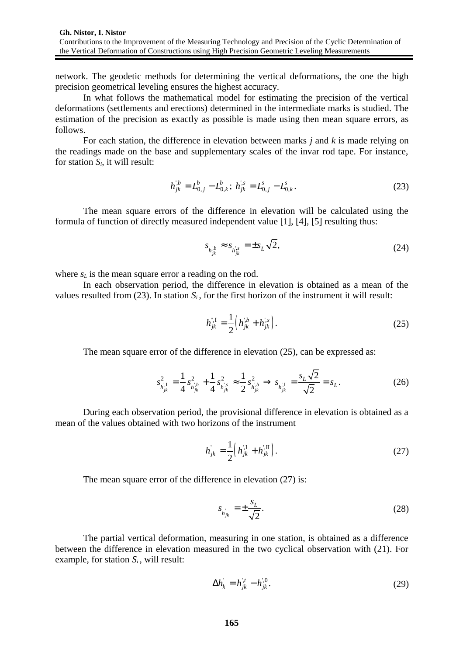network. The geodetic methods for determining the vertical deformations, the one the high precision geometrical leveling ensures the highest accuracy.

In what follows the mathematical model for estimating the precision of the vertical deformations (settlements and erections) determined in the intermediate marks is studied. The estimation of the precision as exactly as possible is made using then mean square errors, as follows.

For each station, the difference in elevation between marks *j* and *k* is made relying on the readings made on the base and supplementary scales of the invar rod tape. For instance, for station  $S_i$ , it will result:

$$
h_{jk}^{b} = L_{0,j}^{b} - L_{0,k}^{b}; \; h_{jk}^{s} = L_{0,j}^{s} - L_{0,k}^{s}.
$$

The mean square errors of the difference in elevation will be calculated using the formula of function of directly measured independent value [1], [4], [5] resulting thus:

$$
s_{h_{jk}^{b}} \approx s_{h_{jk}^{s}} = \pm s_{L} \sqrt{2},
$$
\n(24)

where  $s_L$  is the mean square error a reading on the rod.

In each observation period, the difference in elevation is obtained as a mean of the values resulted from (23). In station  $S_i$ , for the first horizon of the instrument it will result:

$$
h_{jk}^{",I} = \frac{1}{2} \left( h_{jk}^{",b} + h_{jk}^{",s} \right). \tag{25}
$$

The mean square error of the difference in elevation (25), can be expressed as:

$$
s_{h_{jk}^{;1}}^2 = \frac{1}{4} s_{h_{jk}^{;b}}^2 + \frac{1}{4} s_{h_{jk}^{;s}}^2 \approx \frac{1}{2} s_{h_{jk}^{;b}}^2 \Rightarrow s_{h_{jk}^{;1}} = \frac{s_L \sqrt{2}}{\sqrt{2}} = s_L.
$$
 (26)

During each observation period, the provisional difference in elevation is obtained as a mean of the values obtained with two horizons of the instrument

$$
h_{jk} = \frac{1}{2} \left( h_{jk}^{;1} + h_{jk}^{;1} \right). \tag{27}
$$

The mean square error of the difference in elevation (27) is:

$$
s_{h_{jk}} = \pm \frac{s_L}{\sqrt{2}}.\tag{28}
$$

The partial vertical deformation, measuring in one station, is obtained as a difference between the difference in elevation measured in the two cyclical observation with (21). For example, for station  $S_i$ , will result:

$$
\Delta h_k = h_{jk}^{\prime t} - h_{jk}^{\prime 0}.
$$
 (29)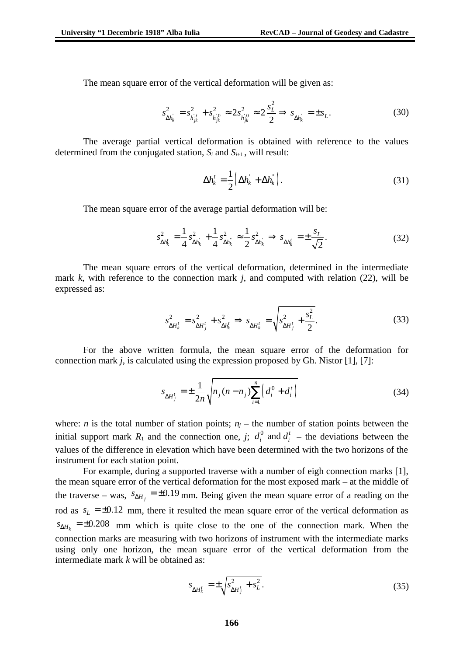The mean square error of the vertical deformation will be given as:

$$
s_{\Delta h_k}^2 = s_{h_{jk}^{i}}^2 + s_{h_{jk}^{i,0}}^2 \approx 2s_{h_{jk}^{i,0}}^2 \approx 2\frac{s_L^2}{2} \Rightarrow s_{\Delta h_k} = \pm s_L.
$$
 (30)

The average partial vertical deformation is obtained with reference to the values determined from the conjugated station,  $S_i$  and  $S_{i+1}$ , will result:

$$
\Delta h_k^t = \frac{1}{2} \left( \Delta h_k^+ + \Delta h_k^+ \right). \tag{31}
$$

The mean square error of the average partial deformation will be:

$$
s_{\Delta h_k^t}^2 = \frac{1}{4} s_{\Delta h_k}^2 + \frac{1}{4} s_{\Delta h_k^*}^2 \approx \frac{1}{2} s_{\Delta h_k}^2 \Rightarrow s_{\Delta h_k^t} = \pm \frac{s_L}{\sqrt{2}}.
$$
 (32)

The mean square errors of the vertical deformation, determined in the intermediate mark *k*, with reference to the connection mark *j*, and computed with relation (22), will be expressed as:

$$
s_{\Delta H_k^t}^2 = s_{\Delta H_j^t}^2 + s_{\Delta h_k^t}^2 \implies s_{\Delta H_k^t} = \sqrt{s_{\Delta H_j^t}^2 + \frac{s_L^2}{2}}.
$$
 (33)

For the above written formula, the mean square error of the deformation for connection mark *j*, is calculated using the expression proposed by Gh. Nistor [1], [7]:

$$
s_{\Delta H_j^t} = \pm \frac{1}{2n} \sqrt{n_j (n - n_j) \sum_{i=1}^n \left( d_i^0 + d_i^t \right)}
$$
(34)

where: *n* is the total number of station points;  $n<sub>i</sub>$  – the number of station points between the initial support mark  $R_1$  and the connection one,  $j;$   $d_i^0$  and  $d_i^t$  – the deviations between the values of the difference in elevation which have been determined with the two horizons of the instrument for each station point.

For example, during a supported traverse with a number of eigh connection marks [1], the mean square error of the vertical deformation for the most exposed mark – at the middle of the traverse – was,  $\sqrt{s_{\Delta H}}_j = \pm 0.19$  mm. Being given the mean square error of a reading on the rod as  $s_L = \pm 0.12$  mm, there it resulted the mean square error of the vertical deformation as  $s_{\Delta H_k}$  =  $\pm 0.208$  mm which is quite close to the one of the connection mark. When the connection marks are measuring with two horizons of instrument with the intermediate marks using only one horizon, the mean square error of the vertical deformation from the intermediate mark *k* will be obtained as:

$$
s_{\Delta H_k^t} = \pm \sqrt{s_{\Delta H_j^t}^2 + s_L^2}.
$$
\n(35)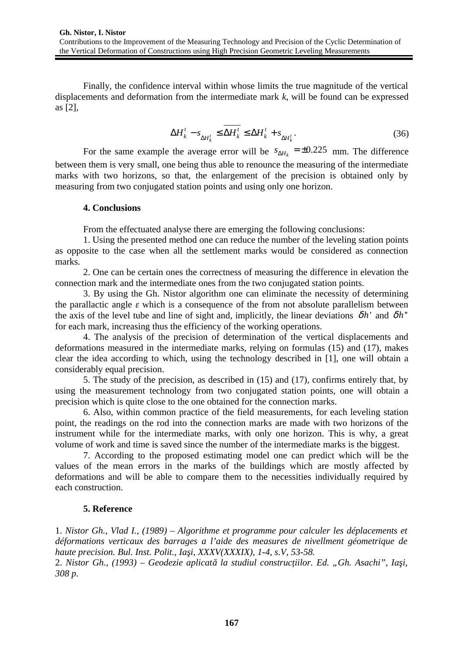Finally, the confidence interval within whose limits the true magnitude of the vertical displacements and deformation from the intermediate mark *k*, will be found can be expressed as [2],

$$
\Delta H_k^t - s_{\Delta H_k^t} \le \overline{\Delta H_k^t} \le \Delta H_k^t + s_{\Delta H_k^t}.
$$
\n(36)

For the same example the average error will be  $s_{\Delta H_k} = \pm 0.225\,$  mm. The difference between them is very small, one being thus able to renounce the measuring of the intermediate marks with two horizons, so that, the enlargement of the precision is obtained only by measuring from two conjugated station points and using only one horizon.

### **4. Conclusions**

From the effectuated analyse there are emerging the following conclusions:

1. Using the presented method one can reduce the number of the leveling station points as opposite to the case when all the settlement marks would be considered as connection marks.

2. One can be certain ones the correctness of measuring the difference in elevation the connection mark and the intermediate ones from the two conjugated station points.

3. By using the Gh. Nistor algorithm one can eliminate the necessity of determining the parallactic angle *ε* which is a consequence of the from not absolute parallelism between the axis of the level tube and line of sight and, implicitly, the linear deviations  $\delta h$ <sup>'</sup> and  $\delta h$ <sup>"</sup> for each mark, increasing thus the efficiency of the working operations.

4. The analysis of the precision of determination of the vertical displacements and deformations measured in the intermediate marks, relying on formulas (15) and (17), makes clear the idea according to which, using the technology described in [1], one will obtain a considerably equal precision.

5. The study of the precision, as described in (15) and (17), confirms entirely that, by using the measurement technology from two conjugated station points, one will obtain a precision which is quite close to the one obtained for the connection marks.

6. Also, within common practice of the field measurements, for each leveling station point, the readings on the rod into the connection marks are made with two horizons of the instrument while for the intermediate marks, with only one horizon. This is why, a great volume of work and time is saved since the number of the intermediate marks is the biggest.

7. According to the proposed estimating model one can predict which will be the values of the mean errors in the marks of the buildings which are mostly affected by deformations and will be able to compare them to the necessities individually required by each construction.

## **5. Reference**

1. *Nistor Gh., Vlad I., (1989) – Algorithme et programme pour calculer les déplacements et déformations verticaux des barrages a l'aide des measures de nivellment géometrique de haute precision. Bul. Inst. Polit., Iaşi, XXXV(XXXIX), 1-4, s.V, 53-58.*

2. *Nistor Gh., (1993) – Geodezie aplicată la studiul construcţiilor. Ed. "Gh. Asachi", Iaşi, 308 p.*